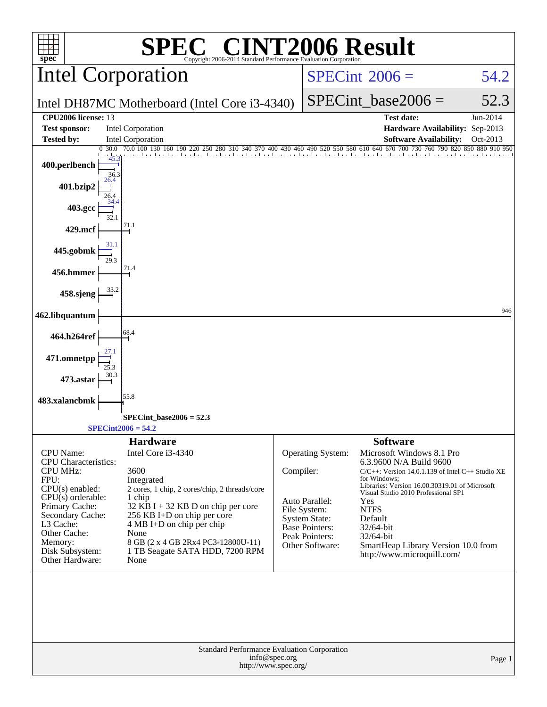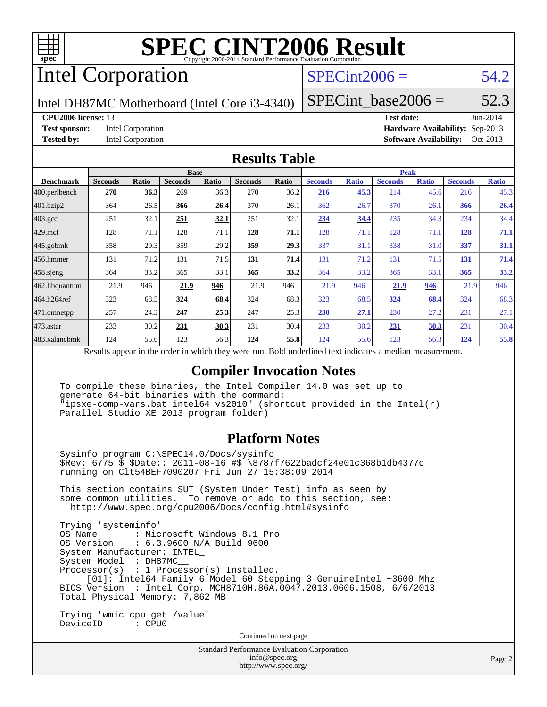

# Intel Corporation

## $SPECint2006 = 54.2$  $SPECint2006 = 54.2$

Intel DH87MC Motherboard (Intel Core i3-4340)

SPECint base2006 =  $52.3$ 

#### **[CPU2006 license:](http://www.spec.org/auto/cpu2006/Docs/result-fields.html#CPU2006license)** 13 **[Test date:](http://www.spec.org/auto/cpu2006/Docs/result-fields.html#Testdate)** Jun-2014

**[Test sponsor:](http://www.spec.org/auto/cpu2006/Docs/result-fields.html#Testsponsor)** Intel Corporation **[Hardware Availability:](http://www.spec.org/auto/cpu2006/Docs/result-fields.html#HardwareAvailability)** Sep-2013 **[Tested by:](http://www.spec.org/auto/cpu2006/Docs/result-fields.html#Testedby)** Intel Corporation **[Software Availability:](http://www.spec.org/auto/cpu2006/Docs/result-fields.html#SoftwareAvailability)** Oct-2013

### **[Results Table](http://www.spec.org/auto/cpu2006/Docs/result-fields.html#ResultsTable)**

|                   | <b>Base</b>                            |         |                  |              |                | <b>Peak</b>  |                                             |              |                |              |                |              |
|-------------------|----------------------------------------|---------|------------------|--------------|----------------|--------------|---------------------------------------------|--------------|----------------|--------------|----------------|--------------|
| <b>Benchmark</b>  | <b>Seconds</b>                         | Ratio   | <b>Seconds</b>   | <b>Ratio</b> | <b>Seconds</b> | <b>Ratio</b> | <b>Seconds</b>                              | <b>Ratio</b> | <b>Seconds</b> | <b>Ratio</b> | <b>Seconds</b> | <b>Ratio</b> |
| $ 400$ .perlbench | 270                                    | 36.3    | 269              | 36.3         | 270            | 36.2         | 216                                         | 45.3         | 214            | 45.6         | 216            | 45.3         |
| 401.bzip2         | 364                                    | 26.5    | 366              | 26.4         | 370            | 26.1         | 362                                         | 26.7         | 370            | 26.1         | 366            | 26.4         |
| $403.\text{gcc}$  | 251                                    | 32.1    | 251              | 32.1         | 251            | 32.1         | 234                                         | 34.4         | 235            | 34.3         | 234            | 34.4         |
| $429$ .mcf        | 128                                    | 71.1    | 128              | 71.1         | 128            | 71.1         | 128                                         | 71.1         | 128            | 71.1         | 128            | 71.1         |
| $445$ .gobmk      | 358                                    | 29.3    | 359              | 29.2         | <u>359</u>     | 29.3         | 337                                         | 31.1         | 338            | 31.0         | 337            | 31.1         |
| $456.$ hmmer      | 131                                    | 71.2    | 131              | 71.5         | 131            | 71.4         | 131                                         | 71.2         | 131            | 71.5         | 131            | 71.4         |
| $458$ .sjeng      | 364                                    | 33.2    | 365              | 33.1         | 365            | 33.2         | 364                                         | 33.2         | 365            | 33.1         | 365            | 33.2         |
| 462.libquantum    | 21.9                                   | 946     | 21.9             | 946          | 21.9           | 946          | 21.9                                        | 946          | 21.9           | 946          | 21.9           | 946          |
| 464.h264ref       | 323                                    | 68.5    | 324              | 68.4         | 324            | 68.3         | 323                                         | 68.5         | 324            | 68.4         | 324            | 68.3         |
| 471.omnetpp       | 257                                    | 24.3    | 247              | 25.3         | 247            | 25.3         | 230                                         | 27.1         | 230            | 27.2         | 231            | 27.1         |
| $473$ . astar     | 233                                    | 30.2    | 231              | 30.3         | 231            | 30.4         | 233                                         | 30.2         | 231            | <u>30.3</u>  | 231            | 30.4         |
| 483.xalancbmk     | 124                                    | 55.6    | 123              | 56.3         | 124            | 55.8         | 124                                         | 55.6         | 123            | 56.3         | 124            | 55.8         |
|                   | $\mathbf{D}$ $\mathbf{D}$ $\mathbf{D}$ | t., 11. | and the contract | 1.3.1.41     |                |              | $D$ and $L$ and $L$ and $L$ and $L$ and $L$ |              |                |              |                |              |

Results appear in the [order in which they were run.](http://www.spec.org/auto/cpu2006/Docs/result-fields.html#RunOrder) Bold underlined text [indicates a median measurement.](http://www.spec.org/auto/cpu2006/Docs/result-fields.html#Median)

### **[Compiler Invocation Notes](http://www.spec.org/auto/cpu2006/Docs/result-fields.html#CompilerInvocationNotes)**

 To compile these binaries, the Intel Compiler 14.0 was set up to generate 64-bit binaries with the command: "ipsxe-comp-vars.bat intel64 vs2010" (shortcut provided in the Intel(r) Parallel Studio XE 2013 program folder)

### **[Platform Notes](http://www.spec.org/auto/cpu2006/Docs/result-fields.html#PlatformNotes)**

 Sysinfo program C:\SPEC14.0/Docs/sysinfo \$Rev: 6775 \$ \$Date:: 2011-08-16 #\$ \8787f7622badcf24e01c368b1db4377c running on Clt54BEF7090207 Fri Jun 27 15:38:09 2014

 This section contains SUT (System Under Test) info as seen by some common utilities. To remove or add to this section, see: <http://www.spec.org/cpu2006/Docs/config.html#sysinfo>

 Trying 'systeminfo' : Microsoft Windows 8.1 Pro OS Version : 6.3.9600 N/A Build 9600 System Manufacturer: INTEL\_ System Model : DH87MC\_\_ Processor(s) : 1 Processor(s) Installed. [01]: Intel64 Family 6 Model 60 Stepping 3 GenuineIntel ~3600 Mhz BIOS Version : Intel Corp. MCH8710H.86A.0047.2013.0606.1508, 6/6/2013 Total Physical Memory: 7,862 MB

 Trying 'wmic cpu get /value' DeviceID : CPU0

Continued on next page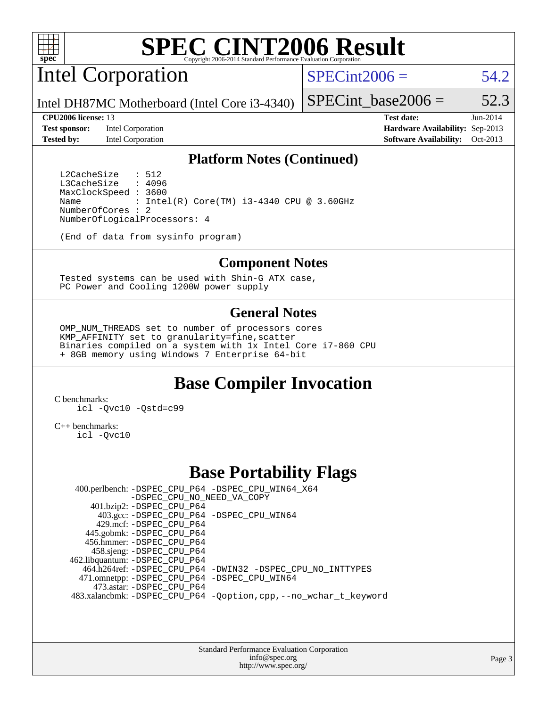

Intel Corporation

 $SPECint2006 = 54.2$  $SPECint2006 = 54.2$ 

Intel DH87MC Motherboard (Intel Core i3-4340)

#### **[CPU2006 license:](http://www.spec.org/auto/cpu2006/Docs/result-fields.html#CPU2006license)** 13 **[Test date:](http://www.spec.org/auto/cpu2006/Docs/result-fields.html#Testdate)** Jun-2014

**[Test sponsor:](http://www.spec.org/auto/cpu2006/Docs/result-fields.html#Testsponsor)** Intel Corporation **[Hardware Availability:](http://www.spec.org/auto/cpu2006/Docs/result-fields.html#HardwareAvailability)** Sep-2013

SPECint base2006 =  $52.3$ 

**[Tested by:](http://www.spec.org/auto/cpu2006/Docs/result-fields.html#Testedby)** Intel Corporation **[Software Availability:](http://www.spec.org/auto/cpu2006/Docs/result-fields.html#SoftwareAvailability)** Oct-2013

### **[Platform Notes \(Continued\)](http://www.spec.org/auto/cpu2006/Docs/result-fields.html#PlatformNotes)**

L2CacheSize : 512<br>L3CacheSize : 4096 L3CacheSize MaxClockSpeed : 3600 Name : Intel(R) Core(TM) i3-4340 CPU @ 3.60GHz NumberOfCores : 2 NumberOfLogicalProcessors: 4

(End of data from sysinfo program)

#### **[Component Notes](http://www.spec.org/auto/cpu2006/Docs/result-fields.html#ComponentNotes)**

 Tested systems can be used with Shin-G ATX case, PC Power and Cooling 1200W power supply

### **[General Notes](http://www.spec.org/auto/cpu2006/Docs/result-fields.html#GeneralNotes)**

 OMP\_NUM\_THREADS set to number of processors cores KMP\_AFFINITY set to granularity=fine,scatter Binaries compiled on a system with 1x Intel Core i7-860 CPU + 8GB memory using Windows 7 Enterprise 64-bit

### **[Base Compiler Invocation](http://www.spec.org/auto/cpu2006/Docs/result-fields.html#BaseCompilerInvocation)**

[C benchmarks](http://www.spec.org/auto/cpu2006/Docs/result-fields.html#Cbenchmarks): [icl -Qvc10](http://www.spec.org/cpu2006/results/res2014q3/cpu2006-20140715-30449.flags.html#user_CCbase_intel_icc_vc10_9607f3ecbcdf68042245f068e51b40c1) [-Qstd=c99](http://www.spec.org/cpu2006/results/res2014q3/cpu2006-20140715-30449.flags.html#user_CCbase_intel_compiler_c99_mode_1a3d110e3041b3ad4466830521bdad2a)

[C++ benchmarks:](http://www.spec.org/auto/cpu2006/Docs/result-fields.html#CXXbenchmarks) [icl -Qvc10](http://www.spec.org/cpu2006/results/res2014q3/cpu2006-20140715-30449.flags.html#user_CXXbase_intel_icc_vc10_9607f3ecbcdf68042245f068e51b40c1)

### **[Base Portability Flags](http://www.spec.org/auto/cpu2006/Docs/result-fields.html#BasePortabilityFlags)**

 400.perlbench: [-DSPEC\\_CPU\\_P64](http://www.spec.org/cpu2006/results/res2014q3/cpu2006-20140715-30449.flags.html#b400.perlbench_basePORTABILITY_DSPEC_CPU_P64) [-DSPEC\\_CPU\\_WIN64\\_X64](http://www.spec.org/cpu2006/results/res2014q3/cpu2006-20140715-30449.flags.html#b400.perlbench_baseCPORTABILITY_DSPEC_CPU_WIN64_X64) [-DSPEC\\_CPU\\_NO\\_NEED\\_VA\\_COPY](http://www.spec.org/cpu2006/results/res2014q3/cpu2006-20140715-30449.flags.html#b400.perlbench_baseCPORTABILITY_DSPEC_CPU_NO_NEED_VA_COPY) 401.bzip2: [-DSPEC\\_CPU\\_P64](http://www.spec.org/cpu2006/results/res2014q3/cpu2006-20140715-30449.flags.html#suite_basePORTABILITY401_bzip2_DSPEC_CPU_P64) 403.gcc: [-DSPEC\\_CPU\\_P64](http://www.spec.org/cpu2006/results/res2014q3/cpu2006-20140715-30449.flags.html#suite_basePORTABILITY403_gcc_DSPEC_CPU_P64) [-DSPEC\\_CPU\\_WIN64](http://www.spec.org/cpu2006/results/res2014q3/cpu2006-20140715-30449.flags.html#b403.gcc_baseCPORTABILITY_DSPEC_CPU_WIN64) 429.mcf: [-DSPEC\\_CPU\\_P64](http://www.spec.org/cpu2006/results/res2014q3/cpu2006-20140715-30449.flags.html#suite_basePORTABILITY429_mcf_DSPEC_CPU_P64) 445.gobmk: [-DSPEC\\_CPU\\_P64](http://www.spec.org/cpu2006/results/res2014q3/cpu2006-20140715-30449.flags.html#suite_basePORTABILITY445_gobmk_DSPEC_CPU_P64) 456.hmmer: [-DSPEC\\_CPU\\_P64](http://www.spec.org/cpu2006/results/res2014q3/cpu2006-20140715-30449.flags.html#suite_basePORTABILITY456_hmmer_DSPEC_CPU_P64) 458.sjeng: [-DSPEC\\_CPU\\_P64](http://www.spec.org/cpu2006/results/res2014q3/cpu2006-20140715-30449.flags.html#suite_basePORTABILITY458_sjeng_DSPEC_CPU_P64) 462.libquantum: [-DSPEC\\_CPU\\_P64](http://www.spec.org/cpu2006/results/res2014q3/cpu2006-20140715-30449.flags.html#suite_basePORTABILITY462_libquantum_DSPEC_CPU_P64) 464.h264ref: [-DSPEC\\_CPU\\_P64](http://www.spec.org/cpu2006/results/res2014q3/cpu2006-20140715-30449.flags.html#suite_basePORTABILITY464_h264ref_DSPEC_CPU_P64) [-DWIN32](http://www.spec.org/cpu2006/results/res2014q3/cpu2006-20140715-30449.flags.html#b464.h264ref_baseCPORTABILITY_DWIN32) [-DSPEC\\_CPU\\_NO\\_INTTYPES](http://www.spec.org/cpu2006/results/res2014q3/cpu2006-20140715-30449.flags.html#b464.h264ref_baseCPORTABILITY_DSPEC_CPU_NO_INTTYPES) 471.omnetpp: [-DSPEC\\_CPU\\_P64](http://www.spec.org/cpu2006/results/res2014q3/cpu2006-20140715-30449.flags.html#suite_basePORTABILITY471_omnetpp_DSPEC_CPU_P64) [-DSPEC\\_CPU\\_WIN64](http://www.spec.org/cpu2006/results/res2014q3/cpu2006-20140715-30449.flags.html#b471.omnetpp_baseCXXPORTABILITY_DSPEC_CPU_WIN64) 473.astar: [-DSPEC\\_CPU\\_P64](http://www.spec.org/cpu2006/results/res2014q3/cpu2006-20140715-30449.flags.html#suite_basePORTABILITY473_astar_DSPEC_CPU_P64) 483.xalancbmk: [-DSPEC\\_CPU\\_P64](http://www.spec.org/cpu2006/results/res2014q3/cpu2006-20140715-30449.flags.html#suite_basePORTABILITY483_xalancbmk_DSPEC_CPU_P64) [-Qoption,cpp,--no\\_wchar\\_t\\_keyword](http://www.spec.org/cpu2006/results/res2014q3/cpu2006-20140715-30449.flags.html#user_baseCXXPORTABILITY483_xalancbmk_f-no_wchar_t_keyword_ec0ad4495a16b4e858bfcb29d949d25d)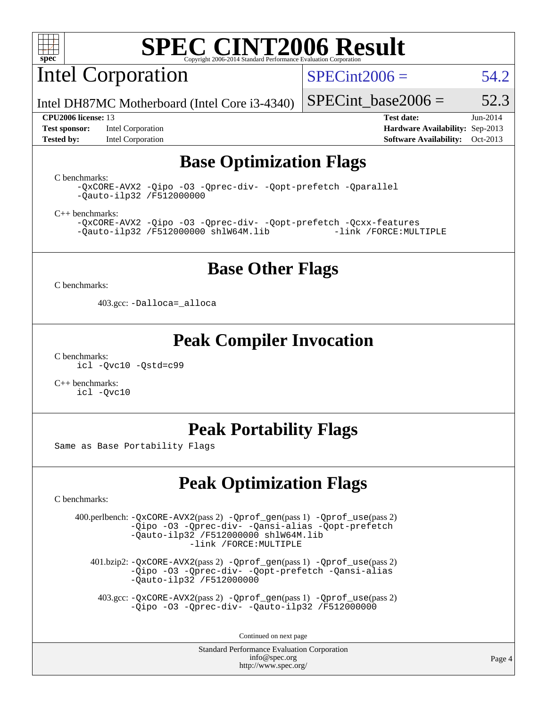

Intel Corporation

 $SPECint2006 = 54.2$  $SPECint2006 = 54.2$ 

Intel DH87MC Motherboard (Intel Core i3-4340)

**[Test sponsor:](http://www.spec.org/auto/cpu2006/Docs/result-fields.html#Testsponsor)** Intel Corporation **[Hardware Availability:](http://www.spec.org/auto/cpu2006/Docs/result-fields.html#HardwareAvailability)** Sep-2013

SPECint base2006 =  $52.3$ **[CPU2006 license:](http://www.spec.org/auto/cpu2006/Docs/result-fields.html#CPU2006license)** 13 **[Test date:](http://www.spec.org/auto/cpu2006/Docs/result-fields.html#Testdate)** Jun-2014

### **[Tested by:](http://www.spec.org/auto/cpu2006/Docs/result-fields.html#Testedby)** Intel Corporation **[Software Availability:](http://www.spec.org/auto/cpu2006/Docs/result-fields.html#SoftwareAvailability)** Oct-2013 **[Base Optimization Flags](http://www.spec.org/auto/cpu2006/Docs/result-fields.html#BaseOptimizationFlags)**

[C benchmarks](http://www.spec.org/auto/cpu2006/Docs/result-fields.html#Cbenchmarks):

[-QxCORE-AVX2](http://www.spec.org/cpu2006/results/res2014q3/cpu2006-20140715-30449.flags.html#user_CCbase_f-QxAVX2_f98716b5f9e905f99c943c56f21bf430) [-Qipo](http://www.spec.org/cpu2006/results/res2014q3/cpu2006-20140715-30449.flags.html#user_CCbase_f-Qipo) [-O3](http://www.spec.org/cpu2006/results/res2014q3/cpu2006-20140715-30449.flags.html#user_CCbase_f-O3) [-Qprec-div-](http://www.spec.org/cpu2006/results/res2014q3/cpu2006-20140715-30449.flags.html#user_CCbase_f-Qprec-div-) [-Qopt-prefetch](http://www.spec.org/cpu2006/results/res2014q3/cpu2006-20140715-30449.flags.html#user_CCbase_f-Qprefetch_37c211608666b9dff9380561f602f0a8) [-Qparallel](http://www.spec.org/cpu2006/results/res2014q3/cpu2006-20140715-30449.flags.html#user_CCbase_f-Qparallel) [-Qauto-ilp32](http://www.spec.org/cpu2006/results/res2014q3/cpu2006-20140715-30449.flags.html#user_CCbase_f-Qauto-ilp32) [/F512000000](http://www.spec.org/cpu2006/results/res2014q3/cpu2006-20140715-30449.flags.html#user_CCbase_set_stack_space_98438a10eb60aa5f35f4c79d9b9b27b1)

[C++ benchmarks:](http://www.spec.org/auto/cpu2006/Docs/result-fields.html#CXXbenchmarks)

[-QxCORE-AVX2](http://www.spec.org/cpu2006/results/res2014q3/cpu2006-20140715-30449.flags.html#user_CXXbase_f-QxAVX2_f98716b5f9e905f99c943c56f21bf430) [-Qipo](http://www.spec.org/cpu2006/results/res2014q3/cpu2006-20140715-30449.flags.html#user_CXXbase_f-Qipo) [-O3](http://www.spec.org/cpu2006/results/res2014q3/cpu2006-20140715-30449.flags.html#user_CXXbase_f-O3) [-Qprec-div-](http://www.spec.org/cpu2006/results/res2014q3/cpu2006-20140715-30449.flags.html#user_CXXbase_f-Qprec-div-) [-Qopt-prefetch](http://www.spec.org/cpu2006/results/res2014q3/cpu2006-20140715-30449.flags.html#user_CXXbase_f-Qprefetch_37c211608666b9dff9380561f602f0a8) [-Qcxx-features](http://www.spec.org/cpu2006/results/res2014q3/cpu2006-20140715-30449.flags.html#user_CXXbase_f-Qcxx_features_dbf36c8a6dba956e22f1645e4dcd4d98)  $-Qauto-ilp32 /F512000000$  $-Qauto-ilp32 /F512000000$  $-Qauto-ilp32 /F512000000$  [shlW64M.lib](http://www.spec.org/cpu2006/results/res2014q3/cpu2006-20140715-30449.flags.html#user_CXXbase_SmartHeap64_c4f7f76711bdf8c0633a5c1edf6e5396)

### **[Base Other Flags](http://www.spec.org/auto/cpu2006/Docs/result-fields.html#BaseOtherFlags)**

[C benchmarks](http://www.spec.org/auto/cpu2006/Docs/result-fields.html#Cbenchmarks):

403.gcc: [-Dalloca=\\_alloca](http://www.spec.org/cpu2006/results/res2014q3/cpu2006-20140715-30449.flags.html#b403.gcc_baseEXTRA_CFLAGS_Dalloca_be3056838c12de2578596ca5467af7f3)

### **[Peak Compiler Invocation](http://www.spec.org/auto/cpu2006/Docs/result-fields.html#PeakCompilerInvocation)**

[C benchmarks](http://www.spec.org/auto/cpu2006/Docs/result-fields.html#Cbenchmarks): [icl -Qvc10](http://www.spec.org/cpu2006/results/res2014q3/cpu2006-20140715-30449.flags.html#user_CCpeak_intel_icc_vc10_9607f3ecbcdf68042245f068e51b40c1) [-Qstd=c99](http://www.spec.org/cpu2006/results/res2014q3/cpu2006-20140715-30449.flags.html#user_CCpeak_intel_compiler_c99_mode_1a3d110e3041b3ad4466830521bdad2a)

[C++ benchmarks:](http://www.spec.org/auto/cpu2006/Docs/result-fields.html#CXXbenchmarks) [icl -Qvc10](http://www.spec.org/cpu2006/results/res2014q3/cpu2006-20140715-30449.flags.html#user_CXXpeak_intel_icc_vc10_9607f3ecbcdf68042245f068e51b40c1)

### **[Peak Portability Flags](http://www.spec.org/auto/cpu2006/Docs/result-fields.html#PeakPortabilityFlags)**

Same as Base Portability Flags

## **[Peak Optimization Flags](http://www.spec.org/auto/cpu2006/Docs/result-fields.html#PeakOptimizationFlags)**

[C benchmarks](http://www.spec.org/auto/cpu2006/Docs/result-fields.html#Cbenchmarks):

 400.perlbench: [-QxCORE-AVX2](http://www.spec.org/cpu2006/results/res2014q3/cpu2006-20140715-30449.flags.html#user_peakPASS2_CFLAGSPASS2_LDFLAGS400_perlbench_f-QxAVX2_f98716b5f9e905f99c943c56f21bf430)(pass 2) [-Qprof\\_gen](http://www.spec.org/cpu2006/results/res2014q3/cpu2006-20140715-30449.flags.html#user_peakPASS1_CFLAGSPASS1_LDFLAGS400_perlbench_Qprof_gen)(pass 1) [-Qprof\\_use](http://www.spec.org/cpu2006/results/res2014q3/cpu2006-20140715-30449.flags.html#user_peakPASS2_CFLAGSPASS2_LDFLAGS400_perlbench_Qprof_use)(pass 2) [-Qipo](http://www.spec.org/cpu2006/results/res2014q3/cpu2006-20140715-30449.flags.html#user_peakOPTIMIZE400_perlbench_f-Qipo) [-O3](http://www.spec.org/cpu2006/results/res2014q3/cpu2006-20140715-30449.flags.html#user_peakOPTIMIZE400_perlbench_f-O3) [-Qprec-div-](http://www.spec.org/cpu2006/results/res2014q3/cpu2006-20140715-30449.flags.html#user_peakOPTIMIZE400_perlbench_f-Qprec-div-) [-Qansi-alias](http://www.spec.org/cpu2006/results/res2014q3/cpu2006-20140715-30449.flags.html#user_peakOPTIMIZE400_perlbench_f-Qansi-alias) [-Qopt-prefetch](http://www.spec.org/cpu2006/results/res2014q3/cpu2006-20140715-30449.flags.html#user_peakOPTIMIZE400_perlbench_f-Qprefetch_37c211608666b9dff9380561f602f0a8) [-Qauto-ilp32](http://www.spec.org/cpu2006/results/res2014q3/cpu2006-20140715-30449.flags.html#user_peakCOPTIMIZE400_perlbench_f-Qauto-ilp32) [/F512000000](http://www.spec.org/cpu2006/results/res2014q3/cpu2006-20140715-30449.flags.html#user_peakEXTRA_LDFLAGS400_perlbench_set_stack_space_98438a10eb60aa5f35f4c79d9b9b27b1) [shlW64M.lib](http://www.spec.org/cpu2006/results/res2014q3/cpu2006-20140715-30449.flags.html#user_peakEXTRA_LIBS400_perlbench_SmartHeap64_c4f7f76711bdf8c0633a5c1edf6e5396)  [-link /FORCE:MULTIPLE](http://www.spec.org/cpu2006/results/res2014q3/cpu2006-20140715-30449.flags.html#user_peakLDOUT400_perlbench_link_force_multiple2_070fe330869edf77077b841074b8b0b6)

 401.bzip2: [-QxCORE-AVX2](http://www.spec.org/cpu2006/results/res2014q3/cpu2006-20140715-30449.flags.html#user_peakPASS2_CFLAGSPASS2_LDFLAGS401_bzip2_f-QxAVX2_f98716b5f9e905f99c943c56f21bf430)(pass 2) [-Qprof\\_gen](http://www.spec.org/cpu2006/results/res2014q3/cpu2006-20140715-30449.flags.html#user_peakPASS1_CFLAGSPASS1_LDFLAGS401_bzip2_Qprof_gen)(pass 1) [-Qprof\\_use](http://www.spec.org/cpu2006/results/res2014q3/cpu2006-20140715-30449.flags.html#user_peakPASS2_CFLAGSPASS2_LDFLAGS401_bzip2_Qprof_use)(pass 2) [-Qipo](http://www.spec.org/cpu2006/results/res2014q3/cpu2006-20140715-30449.flags.html#user_peakOPTIMIZE401_bzip2_f-Qipo) [-O3](http://www.spec.org/cpu2006/results/res2014q3/cpu2006-20140715-30449.flags.html#user_peakOPTIMIZE401_bzip2_f-O3) [-Qprec-div-](http://www.spec.org/cpu2006/results/res2014q3/cpu2006-20140715-30449.flags.html#user_peakOPTIMIZE401_bzip2_f-Qprec-div-) [-Qopt-prefetch](http://www.spec.org/cpu2006/results/res2014q3/cpu2006-20140715-30449.flags.html#user_peakOPTIMIZE401_bzip2_f-Qprefetch_37c211608666b9dff9380561f602f0a8) [-Qansi-alias](http://www.spec.org/cpu2006/results/res2014q3/cpu2006-20140715-30449.flags.html#user_peakOPTIMIZE401_bzip2_f-Qansi-alias) [-Qauto-ilp32](http://www.spec.org/cpu2006/results/res2014q3/cpu2006-20140715-30449.flags.html#user_peakCOPTIMIZE401_bzip2_f-Qauto-ilp32) [/F512000000](http://www.spec.org/cpu2006/results/res2014q3/cpu2006-20140715-30449.flags.html#user_peakEXTRA_LDFLAGS401_bzip2_set_stack_space_98438a10eb60aa5f35f4c79d9b9b27b1)

 403.gcc: [-QxCORE-AVX2](http://www.spec.org/cpu2006/results/res2014q3/cpu2006-20140715-30449.flags.html#user_peakPASS2_CFLAGSPASS2_LDFLAGS403_gcc_f-QxAVX2_f98716b5f9e905f99c943c56f21bf430)(pass 2) [-Qprof\\_gen](http://www.spec.org/cpu2006/results/res2014q3/cpu2006-20140715-30449.flags.html#user_peakPASS1_CFLAGSPASS1_LDFLAGS403_gcc_Qprof_gen)(pass 1) [-Qprof\\_use](http://www.spec.org/cpu2006/results/res2014q3/cpu2006-20140715-30449.flags.html#user_peakPASS2_CFLAGSPASS2_LDFLAGS403_gcc_Qprof_use)(pass 2) [-Qipo](http://www.spec.org/cpu2006/results/res2014q3/cpu2006-20140715-30449.flags.html#user_peakOPTIMIZE403_gcc_f-Qipo) [-O3](http://www.spec.org/cpu2006/results/res2014q3/cpu2006-20140715-30449.flags.html#user_peakOPTIMIZE403_gcc_f-O3) [-Qprec-div-](http://www.spec.org/cpu2006/results/res2014q3/cpu2006-20140715-30449.flags.html#user_peakOPTIMIZE403_gcc_f-Qprec-div-) [-Qauto-ilp32](http://www.spec.org/cpu2006/results/res2014q3/cpu2006-20140715-30449.flags.html#user_peakCOPTIMIZE403_gcc_f-Qauto-ilp32) [/F512000000](http://www.spec.org/cpu2006/results/res2014q3/cpu2006-20140715-30449.flags.html#user_peakEXTRA_LDFLAGS403_gcc_set_stack_space_98438a10eb60aa5f35f4c79d9b9b27b1)

Continued on next page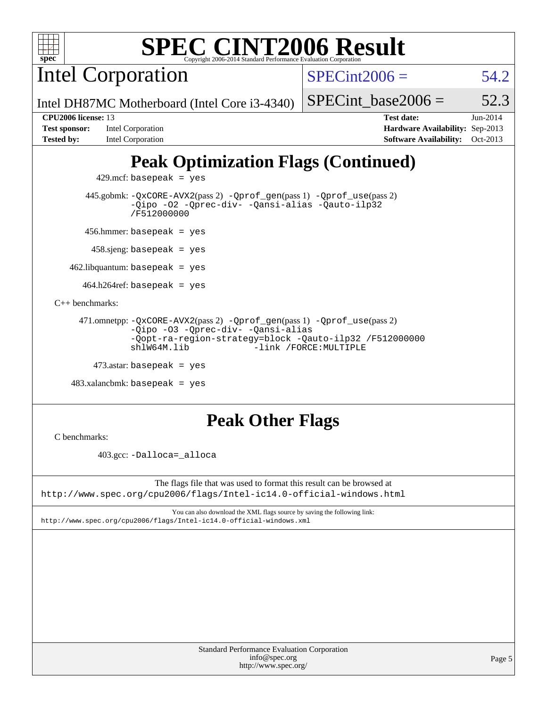

Intel Corporation

 $SPECint2006 = 54.2$  $SPECint2006 = 54.2$ 

SPECint base2006 =  $52.3$ 

Intel DH87MC Motherboard (Intel Core i3-4340)

**[Tested by:](http://www.spec.org/auto/cpu2006/Docs/result-fields.html#Testedby)** Intel Corporation **[Software Availability:](http://www.spec.org/auto/cpu2006/Docs/result-fields.html#SoftwareAvailability)** Oct-2013

**[CPU2006 license:](http://www.spec.org/auto/cpu2006/Docs/result-fields.html#CPU2006license)** 13 **[Test date:](http://www.spec.org/auto/cpu2006/Docs/result-fields.html#Testdate)** Jun-2014 **[Test sponsor:](http://www.spec.org/auto/cpu2006/Docs/result-fields.html#Testsponsor)** Intel Corporation **[Hardware Availability:](http://www.spec.org/auto/cpu2006/Docs/result-fields.html#HardwareAvailability)** Sep-2013

# **[Peak Optimization Flags \(Continued\)](http://www.spec.org/auto/cpu2006/Docs/result-fields.html#PeakOptimizationFlags)**

 $429$ .mcf: basepeak = yes

 445.gobmk: [-QxCORE-AVX2](http://www.spec.org/cpu2006/results/res2014q3/cpu2006-20140715-30449.flags.html#user_peakPASS2_CFLAGSPASS2_LDFLAGS445_gobmk_f-QxAVX2_f98716b5f9e905f99c943c56f21bf430)(pass 2) [-Qprof\\_gen](http://www.spec.org/cpu2006/results/res2014q3/cpu2006-20140715-30449.flags.html#user_peakPASS1_CFLAGSPASS1_LDFLAGS445_gobmk_Qprof_gen)(pass 1) [-Qprof\\_use](http://www.spec.org/cpu2006/results/res2014q3/cpu2006-20140715-30449.flags.html#user_peakPASS2_CFLAGSPASS2_LDFLAGS445_gobmk_Qprof_use)(pass 2) [-Qipo](http://www.spec.org/cpu2006/results/res2014q3/cpu2006-20140715-30449.flags.html#user_peakOPTIMIZE445_gobmk_f-Qipo) [-O2](http://www.spec.org/cpu2006/results/res2014q3/cpu2006-20140715-30449.flags.html#user_peakOPTIMIZE445_gobmk_f-O2) [-Qprec-div-](http://www.spec.org/cpu2006/results/res2014q3/cpu2006-20140715-30449.flags.html#user_peakOPTIMIZE445_gobmk_f-Qprec-div-) [-Qansi-alias](http://www.spec.org/cpu2006/results/res2014q3/cpu2006-20140715-30449.flags.html#user_peakOPTIMIZE445_gobmk_f-Qansi-alias) [-Qauto-ilp32](http://www.spec.org/cpu2006/results/res2014q3/cpu2006-20140715-30449.flags.html#user_peakCOPTIMIZE445_gobmk_f-Qauto-ilp32) [/F512000000](http://www.spec.org/cpu2006/results/res2014q3/cpu2006-20140715-30449.flags.html#user_peakEXTRA_LDFLAGS445_gobmk_set_stack_space_98438a10eb60aa5f35f4c79d9b9b27b1)

456.hmmer: basepeak = yes

458.sjeng: basepeak = yes

 $462$ .libquantum: basepeak = yes

 $464.h264$ ref: basepeak = yes

[C++ benchmarks:](http://www.spec.org/auto/cpu2006/Docs/result-fields.html#CXXbenchmarks)

```
 471.omnetpp: -QxCORE-AVX2(pass 2) -Qprof_gen(pass 1) -Qprof_use(pass 2)
-Qipo -O3 -Qprec-div- -Qansi-alias
-Qopt-ra-region-strategy=block -Qauto-ilp32 /F512000000
shlW64M.lib -link /FORCE:MULTIPLE
```

```
473.astar: basepeak = yes
```

```
 483.xalancbmk: basepeak = yes
```
# **[Peak Other Flags](http://www.spec.org/auto/cpu2006/Docs/result-fields.html#PeakOtherFlags)**

[C benchmarks](http://www.spec.org/auto/cpu2006/Docs/result-fields.html#Cbenchmarks):

403.gcc: [-Dalloca=\\_alloca](http://www.spec.org/cpu2006/results/res2014q3/cpu2006-20140715-30449.flags.html#b403.gcc_peakEXTRA_CFLAGS_Dalloca_be3056838c12de2578596ca5467af7f3)

The flags file that was used to format this result can be browsed at <http://www.spec.org/cpu2006/flags/Intel-ic14.0-official-windows.html>

You can also download the XML flags source by saving the following link: <http://www.spec.org/cpu2006/flags/Intel-ic14.0-official-windows.xml>